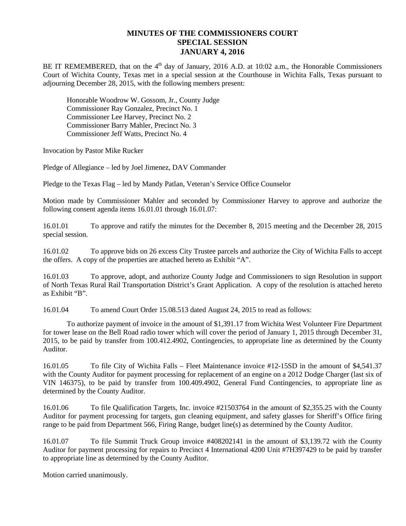## **MINUTES OF THE COMMISSIONERS COURT SPECIAL SESSION JANUARY 4, 2016**

BE IT REMEMBERED, that on the  $4<sup>th</sup>$  day of January, 2016 A.D. at 10:02 a.m., the Honorable Commissioners Court of Wichita County, Texas met in a special session at the Courthouse in Wichita Falls, Texas pursuant to adjourning December 28, 2015, with the following members present:

Honorable Woodrow W. Gossom, Jr., County Judge Commissioner Ray Gonzalez, Precinct No. 1 Commissioner Lee Harvey, Precinct No. 2 Commissioner Barry Mahler, Precinct No. 3 Commissioner Jeff Watts, Precinct No. 4

Invocation by Pastor Mike Rucker

Pledge of Allegiance – led by Joel Jimenez, DAV Commander

Pledge to the Texas Flag – led by Mandy Patlan, Veteran's Service Office Counselor

Motion made by Commissioner Mahler and seconded by Commissioner Harvey to approve and authorize the following consent agenda items 16.01.01 through 16.01.07:

16.01.01 To approve and ratify the minutes for the December 8, 2015 meeting and the December 28, 2015 special session.

16.01.02 To approve bids on 26 excess City Trustee parcels and authorize the City of Wichita Falls to accept the offers. A copy of the properties are attached hereto as Exhibit "A".

16.01.03 To approve, adopt, and authorize County Judge and Commissioners to sign Resolution in support of North Texas Rural Rail Transportation District's Grant Application. A copy of the resolution is attached hereto as Exhibit "B".

16.01.04 To amend Court Order 15.08.513 dated August 24, 2015 to read as follows:

To authorize payment of invoice in the amount of \$1,391.17 from Wichita West Volunteer Fire Department for tower lease on the Bell Road radio tower which will cover the period of January 1, 2015 through December 31, 2015, to be paid by transfer from 100.412.4902, Contingencies, to appropriate line as determined by the County Auditor.

16.01.05 To file City of Wichita Falls – Fleet Maintenance invoice #12-15SD in the amount of \$4,541.37 with the County Auditor for payment processing for replacement of an engine on a 2012 Dodge Charger (last six of VIN 146375), to be paid by transfer from 100.409.4902, General Fund Contingencies, to appropriate line as determined by the County Auditor.

16.01.06 To file Qualification Targets, Inc. invoice #21503764 in the amount of \$2,355.25 with the County Auditor for payment processing for targets, gun cleaning equipment, and safety glasses for Sheriff's Office firing range to be paid from Department 566, Firing Range, budget line(s) as determined by the County Auditor.

16.01.07 To file Summit Truck Group invoice #408202141 in the amount of \$3,139.72 with the County Auditor for payment processing for repairs to Precinct 4 International 4200 Unit #7H397429 to be paid by transfer to appropriate line as determined by the County Auditor.

Motion carried unanimously.